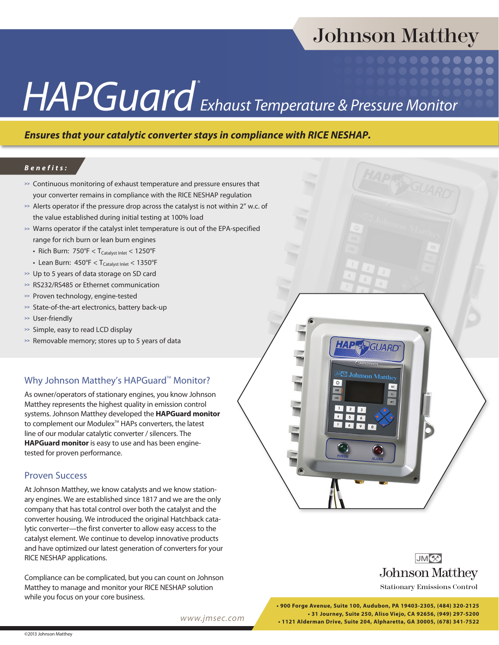# Johnson Matthey

# *HAPGuard® Exhaust Temperature & Pressure Monitor*

## *Ensures that your catalytic converter stays in compliance with RICE NESHAP.*

#### *Benefits:*

- **>>** Continuous monitoring of exhaust temperature and pressure ensures that your converter remains in compliance with the RICE NESHAP regulation
- **>>** Alerts operator if the pressure drop across the catalyst is not within 2" w.c. of the value established during initial testing at 100% load
- **>>** Warns operator if the catalyst inlet temperature is out of the EPA-specified range for rich burn or lean burn engines
	- Rich Burn:  $750^{\circ}F < T_{\text{Catalvst Inlet}} < 1250^{\circ}F$
	- Lean Burn:  $450^{\circ}F < T_{\text{Catalyst Inlet}} < 1350^{\circ}F$
- **>>** Up to 5 years of data storage on SD card
- **>>** RS232/RS485 or Ethernet communication
- **>>** Proven technology, engine-tested
- **>>** State-of-the-art electronics, battery back-up
- **>>** User-friendly
- **>>** Simple, easy to read LCD display
- **>>** Removable memory; stores up to 5 years of data

### Why Johnson Matthey's HAPGuard<sup>™</sup> Monitor?

As owner/operators of stationary engines, you know Johnson Matthey represents the highest quality in emission control systems. Johnson Matthey developed the **HAPGuard monitor** to complement our Modulex<sup>™</sup> HAPs converters, the latest line of our modular catalytic converter / silencers. The **HAPGuard monitor** is easy to use and has been enginetested for proven performance.

### Proven Success

At Johnson Matthey, we know catalysts and we know stationary engines. We are established since 1817 and we are the only company that has total control over both the catalyst and the converter housing. We introduced the original Hatchback catalytic converter—the first converter to allow easy access to the catalyst element. We continue to develop innovative products and have optimized our latest generation of converters for your RICE NESHAP applications.

Compliance can be complicated, but you can count on Johnson Matthey to manage and monitor your RICE NESHAP solution while you focus on your core business.

*www.jmsec.com*





Stationary Emissions Control

**• 900 Forge Avenue, Suite 100, Audubon, PA 19403-2305, (484) 320-2125 • 31 Journey, Suite 250, Aliso Viejo, CA 92656, (949) 297-5200 • 1121 Alderman Drive, Suite 204, Alpharetta, GA 30005, (678) 341-7522**